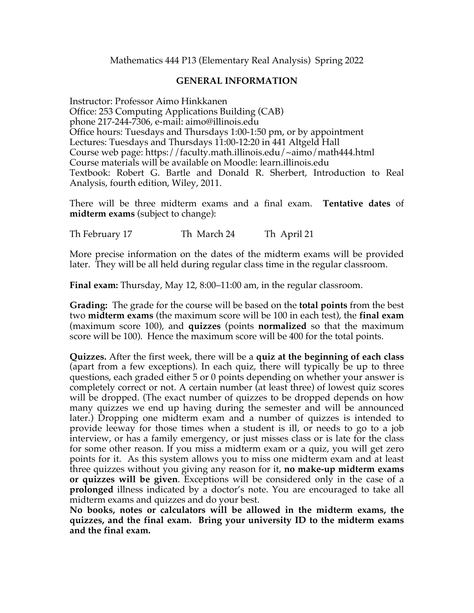Mathematics 444 P13 (Elementary Real Analysis) Spring 2022

## **GENERAL INFORMATION**

Instructor: Professor Aimo Hinkkanen Office: 253 Computing Applications Building (CAB) phone 217-244-7306, e-mail: aimo@illinois.edu Office hours: Tuesdays and Thursdays 1:00-1:50 pm, or by appointment Lectures: Tuesdays and Thursdays 11:00-12:20 in 441 Altgeld Hall Course web page: https://faculty.math.illinois.edu/~aimo/math444.html Course materials will be available on Moodle: learn.illinois.edu Textbook: Robert G. Bartle and Donald R. Sherbert, Introduction to Real Analysis, fourth edition, Wiley, 2011.

There will be three midterm exams and a final exam. **Tentative dates** of **midterm exams** (subject to change):

Th February 17 Th March 24 Th April 21

More precise information on the dates of the midterm exams will be provided later. They will be all held during regular class time in the regular classroom.

**Final exam:** Thursday, May 12, 8:00–11:00 am, in the regular classroom.

**Grading:** The grade for the course will be based on the **total points** from the best two **midterm exams** (the maximum score will be 100 in each test), the **final exam** (maximum score 100), and **quizzes** (points **normalized** so that the maximum score will be 100). Hence the maximum score will be 400 for the total points.

**Quizzes.** After the first week, there will be a **quiz at the beginning of each class** (apart from a few exceptions). In each quiz, there will typically be up to three questions, each graded either 5 or 0 points depending on whether your answer is completely correct or not. A certain number (at least three) of lowest quiz scores will be dropped. (The exact number of quizzes to be dropped depends on how many quizzes we end up having during the semester and will be announced later.) Dropping one midterm exam and a number of quizzes is intended to provide leeway for those times when a student is ill, or needs to go to a job interview, or has a family emergency, or just misses class or is late for the class for some other reason. If you miss a midterm exam or a quiz, you will get zero points for it. As this system allows you to miss one midterm exam and at least three quizzes without you giving any reason for it, **no make-up midterm exams or quizzes will be given**. Exceptions will be considered only in the case of a **prolonged** illness indicated by a doctor's note. You are encouraged to take all midterm exams and quizzes and do your best.

**No books, notes or calculators will be allowed in the midterm exams, the quizzes, and the final exam. Bring your university ID to the midterm exams and the final exam.**